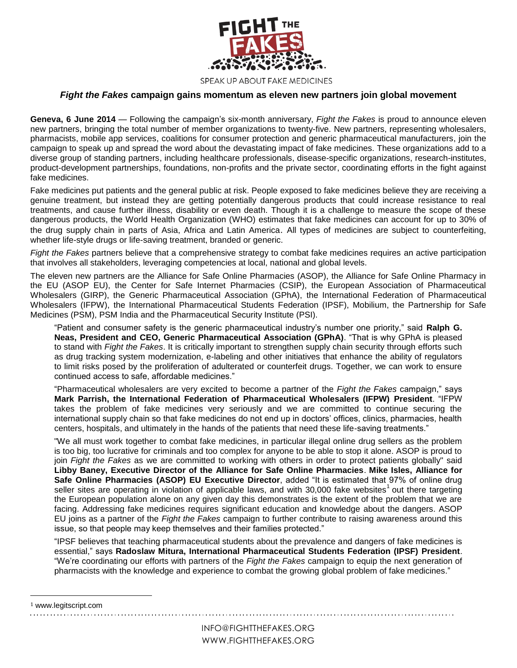

SPEAK UP ABOUT FAKE MEDICINES

## *Fight the Fakes* **campaign gains momentum as eleven new partners join global movement**

**Geneva, 6 June 2014** — Following the campaign's six-month anniversary, *Fight the Fakes* is proud to announce eleven new partners, bringing the total number of member organizations to twenty-five. New partners, representing wholesalers, pharmacists, mobile app services, coalitions for consumer protection and generic pharmaceutical manufacturers, join the campaign to speak up and spread the word about the devastating impact of fake medicines. These organizations add to a diverse group of standing partners, including healthcare professionals, disease-specific organizations, research-institutes, product-development partnerships, foundations, non-profits and the private sector, coordinating efforts in the fight against fake medicines.

Fake medicines put patients and the general public at risk. People exposed to fake medicines believe they are receiving a genuine treatment, but instead they are getting potentially dangerous products that could increase resistance to real treatments, and cause further illness, disability or even death. Though it is a challenge to measure the scope of these dangerous products, the World Health Organization (WHO) estimates that fake medicines can account for up to 30% of the drug supply chain in parts of Asia, Africa and Latin America. All types of medicines are subject to counterfeiting, whether life-style drugs or life-saving treatment, branded or generic.

*Fight the Fakes* partners believe that a comprehensive strategy to combat fake medicines requires an active participation that involves all stakeholders, leveraging competencies at local, national and global levels.

The eleven new partners are the Alliance for Safe Online Pharmacies (ASOP), the Alliance for Safe Online Pharmacy in the EU (ASOP EU), the Center for Safe Internet Pharmacies (CSIP), the European Association of Pharmaceutical Wholesalers (GIRP), the Generic Pharmaceutical Association (GPhA), the International Federation of Pharmaceutical Wholesalers (IFPW), the International Pharmaceutical Students Federation (IPSF), Mobilium, the Partnership for Safe Medicines (PSM), PSM India and the Pharmaceutical Security Institute (PSI).

"Patient and consumer safety is the generic pharmaceutical industry's number one priority," said **Ralph G. Neas, President and CEO, Generic Pharmaceutical Association (GPhA)**. "That is why GPhA is pleased to stand with *Fight the Fakes*. It is critically important to strengthen supply chain security through efforts such as drug tracking system modernization, e-labeling and other initiatives that enhance the ability of regulators to limit risks posed by the proliferation of adulterated or counterfeit drugs. Together, we can work to ensure continued access to safe, affordable medicines."

"Pharmaceutical wholesalers are very excited to become a partner of the *Fight the Fakes* campaign," says **Mark Parrish, the International Federation of Pharmaceutical Wholesalers (IFPW) President**. "IFPW takes the problem of fake medicines very seriously and we are committed to continue securing the international supply chain so that fake medicines do not end up in doctors' offices, clinics, pharmacies, health centers, hospitals, and ultimately in the hands of the patients that need these life-saving treatments."

"We all must work together to combat fake medicines, in particular illegal online drug sellers as the problem is too big, too lucrative for criminals and too complex for anyone to be able to stop it alone. ASOP is proud to join *Fight the Fakes* as we are committed to working with others in order to protect patients globally" said **Libby Baney, Executive Director of the Alliance for Safe Online Pharmacies**. **Mike Isles, Alliance for Safe Online Pharmacies (ASOP) EU Executive Director**, added "It is estimated that 97% of online drug seller sites are operating in violation of applicable laws, and with 30,000 fake websites<sup>1</sup> out there targeting the European population alone on any given day this demonstrates is the extent of the problem that we are facing. Addressing fake medicines requires significant education and knowledge about the dangers. ASOP EU joins as a partner of the *Fight the Fakes* campaign to further contribute to raising awareness around this issue, so that people may keep themselves and their families protected."

"IPSF believes that teaching pharmaceutical students about the prevalence and dangers of fake medicines is essential," says **Radoslaw Mitura, International Pharmaceutical Students Federation (IPSF) President**. "We're coordinating our efforts with partners of the *Fight the Fakes* campaign to equip the next generation of pharmacists with the knowledge and experience to combat the growing global problem of fake medicines."

l

<sup>1</sup> www.legitscript.com